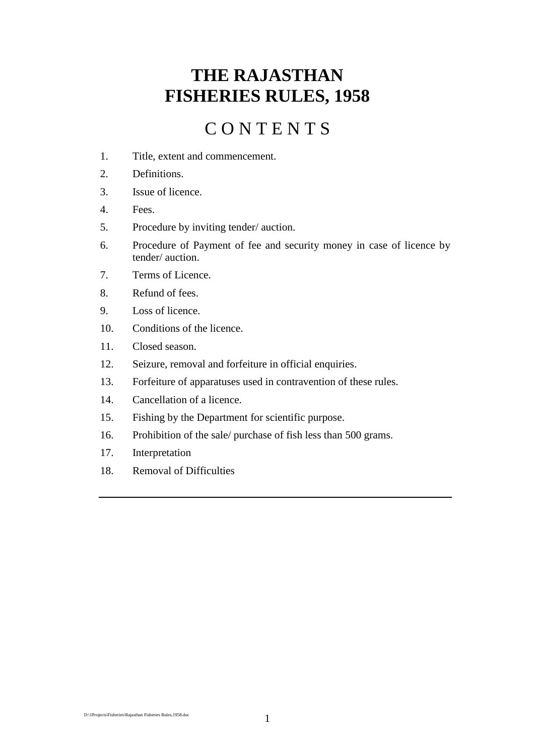# **THE RAJASTHAN FISHERIES RULES, 1958**

# C O N T E N T S

- 1. Title, extent and commencement.
- 2. Definitions.
- 3. Issue of licence.
- 4. Fees.
- 5. Procedure by inviting tender/ auction.
- 6. Procedure of Payment of fee and security money in case of licence by tender/ auction.
- 7. Terms of Licence.
- 8. Refund of fees.
- 9. Loss of licence.
- 10. Conditions of the licence.
- 11. Closed season.
- 12. Seizure, removal and forfeiture in official enquiries.
- 13. Forfeiture of apparatuses used in contravention of these rules.
- 14. Cancellation of a licence.
- 15. Fishing by the Department for scientific purpose.
- 16. Prohibition of the sale/ purchase of fish less than 500 grams.
- 17. Interpretation
- 18. Removal of Difficulties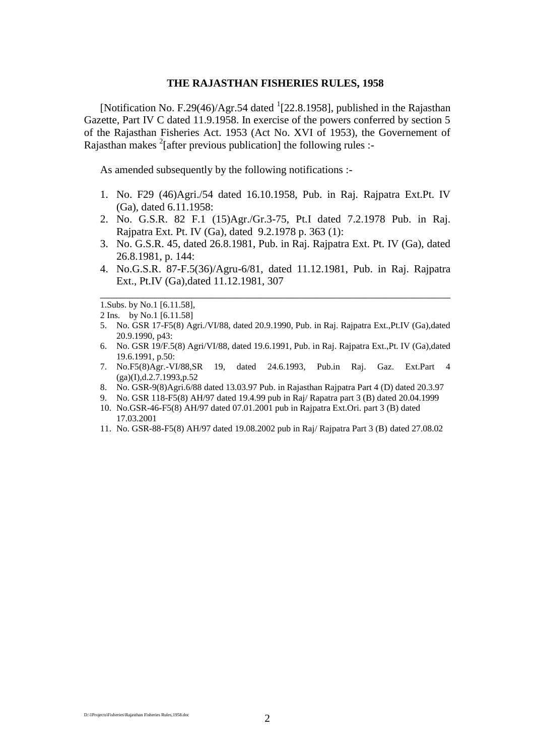#### **THE RAJASTHAN FISHERIES RULES, 1958**

[Notification No. F.29(46)/Agr.54 dated  $(22.8.1958)$ , published in the Rajasthan Gazette, Part IV C dated 11.9.1958. In exercise of the powers conferred by section 5 of the Rajasthan Fisheries Act. 1953 (Act No. XVI of 1953), the Governement of Rajasthan makes  $2$ [after previous publication] the following rules :-

As amended subsequently by the following notifications :-

- 1. No. F29 (46)Agri./54 dated 16.10.1958, Pub. in Raj. Rajpatra Ext.Pt. IV (Ga), dated 6.11.1958:
- 2. No. G.S.R. 82 F.1 (15)Agr./Gr.3-75, Pt.I dated 7.2.1978 Pub. in Raj. Rajpatra Ext. Pt. IV (Ga), dated 9.2.1978 p. 363 (1):
- 3. No. G.S.R. 45, dated 26.8.1981, Pub. in Raj. Rajpatra Ext. Pt. IV (Ga), dated 26.8.1981, p. 144:
- 4. No.G.S.R. 87-F.5(36)/Agru-6/81, dated 11.12.1981, Pub. in Raj. Rajpatra Ext., Pt.IV (Ga),dated 11.12.1981, 307

\_\_\_\_\_\_\_\_\_\_\_\_\_\_\_\_\_\_\_\_\_\_\_\_\_\_\_\_\_\_\_\_\_\_\_\_\_\_\_\_\_\_\_\_\_\_\_\_\_\_\_\_\_\_\_\_\_\_\_\_\_\_\_\_\_

1.Subs. by No.1 [6.11.58],

- 5. No. GSR 17-F5(8) Agri./VI/88, dated 20.9.1990, Pub. in Raj. Rajpatra Ext.,Pt.IV (Ga),dated 20.9.1990, p43:
- 6. No. GSR 19/F.5(8) Agri/VI/88, dated 19.6.1991, Pub. in Raj. Rajpatra Ext.,Pt. IV (Ga),dated 19.6.1991, p.50:
- 7. No.F5(8)Agr.-VI/88,SR 19, dated 24.6.1993, Pub.in Raj. Gaz. Ext.Part 4  $(ga)(I),d.2.7.1993,p.52$
- 8. No. GSR-9(8)Agri.6/88 dated 13.03.97 Pub. in Rajasthan Rajpatra Part 4 (D) dated 20.3.97
- 9. No. GSR 118-F5(8) AH/97 dated 19.4.99 pub in Raj/ Rapatra part 3 (B) dated 20.04.1999
- 10. No.GSR-46-F5(8) AH/97 dated 07.01.2001 pub in Rajpatra Ext.Ori. part 3 (B) dated 17.03.2001
- 11. No. GSR-88-F5(8) AH/97 dated 19.08.2002 pub in Raj/ Rajpatra Part 3 (B) dated 27.08.02

<sup>2</sup> Ins. by No.1 [6.11.58]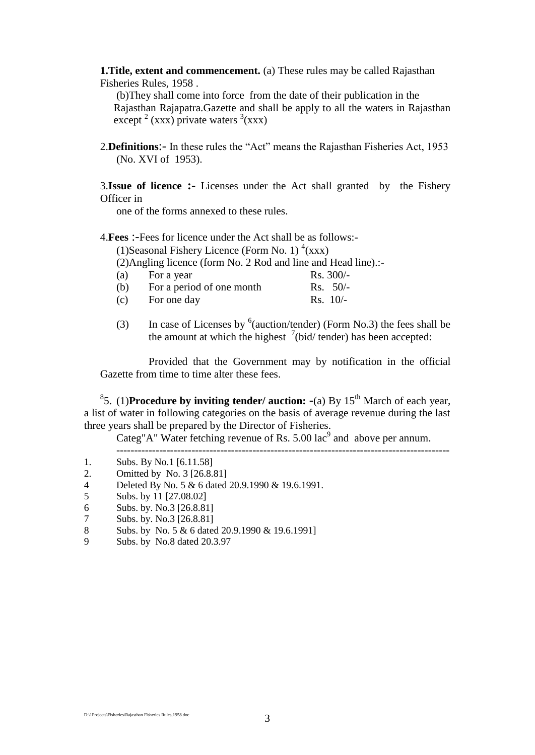**1.Title, extent and commencement.** (a) These rules may be called Rajasthan Fisheries Rules, 1958 .

(b)They shall come into force from the date of their publication in the Rajasthan Rajapatra.Gazette and shall be apply to all the waters in Rajasthan except  $2$  (xxx) private waters  $3$ (xxx)

2.**Definitions**:- In these rules the "Act" means the Rajasthan Fisheries Act, 1953 (No. XVI of 1953).

3.**Issue of licence :-** Licenses under the Act shall granted by the Fishery Officer in

one of the forms annexed to these rules.

4.**Fees** :-Fees for licence under the Act shall be as follows:-

(1)Seasonal Fishery Licence (Form No. 1)  $\rm ^{4}(xxx)$ 

(2)Angling licence (form No. 2 Rod and line and Head line).:-

- (a) For a year Rs.  $300/-$
- (b) For a period of one month Rs. 50/-
- $\text{For one day}$  Rs. 10/-
- (3) In case of Licenses by  $6$  (auction/tender) (Form No.3) the fees shall be the amount at which the highest  $\frac{7}{1}$  (bid/ tender) has been accepted:

Provided that the Government may by notification in the official Gazette from time to time alter these fees.

<sup>8</sup>5. (1)**Procedure by inviting tender/ auction: -**(a) By 15<sup>th</sup> March of each year, a list of water in following categories on the basis of average revenue during the last three years shall be prepared by the Director of Fisheries.

Categ"A" Water fetching revenue of Rs.  $5.00 \text{ lac}^9$  and above per annum. ---------------------------------------------------------------------------------------------

- 1. Subs. By No.1 [6.11.58]
- 2. Omitted by No. 3 [26.8.81]
- 4 Deleted By No. 5 & 6 dated 20.9.1990 & 19.6.1991.
- 5 Subs. by 11 [27.08.02]
- 6 Subs. by. No.3 [26.8.81]
- 7 Subs. by. No.3 [26.8.81]
- 8 Subs. by No. 5 & 6 dated 20.9.1990 & 19.6.1991]
- 9 Subs. by No.8 dated 20.3.97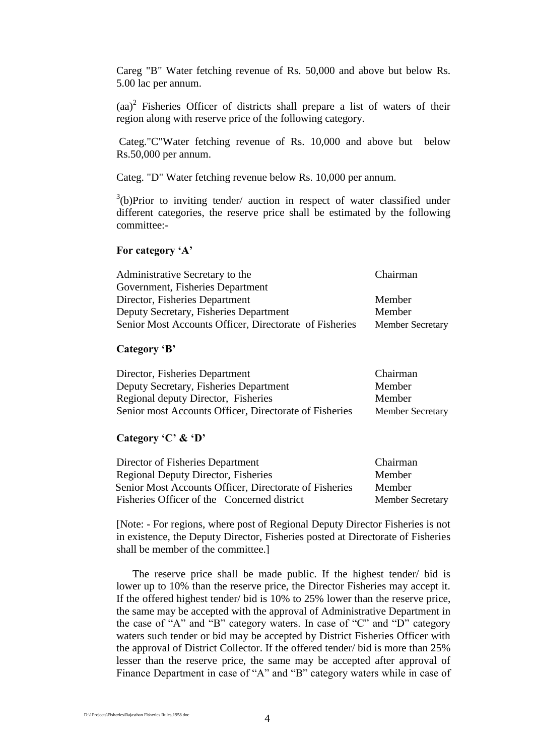Careg "B" Water fetching revenue of Rs. 50,000 and above but below Rs. 5.00 lac per annum.

 $(aa)^2$  Fisheries Officer of districts shall prepare a list of waters of their region along with reserve price of the following category.

Categ."C"Water fetching revenue of Rs. 10,000 and above but below Rs.50,000 per annum.

Categ. "D" Water fetching revenue below Rs. 10,000 per annum.

 $3(b)$ Prior to inviting tender/ auction in respect of water classified under different categories, the reserve price shall be estimated by the following committee:-

#### **For category 'A'**

| Administrative Secretary to the                        | Chairman                |
|--------------------------------------------------------|-------------------------|
| Government, Fisheries Department                       |                         |
| Director, Fisheries Department                         | Member                  |
| Deputy Secretary, Fisheries Department                 | Member                  |
| Senior Most Accounts Officer, Directorate of Fisheries | <b>Member Secretary</b> |

#### **Category 'B'**

| Director, Fisheries Department                         | Chairman                |
|--------------------------------------------------------|-------------------------|
| Deputy Secretary, Fisheries Department                 | Member                  |
| Regional deputy Director, Fisheries                    | Member                  |
| Senior most Accounts Officer, Directorate of Fisheries | <b>Member Secretary</b> |

## **Category 'C' & 'D'**

| Director of Fisheries Department                       | Chairman                |
|--------------------------------------------------------|-------------------------|
| Regional Deputy Director, Fisheries                    | Member                  |
| Senior Most Accounts Officer, Directorate of Fisheries | Member                  |
| Fisheries Officer of the Concerned district            | <b>Member Secretary</b> |

[Note: - For regions, where post of Regional Deputy Director Fisheries is not in existence, the Deputy Director, Fisheries posted at Directorate of Fisheries shall be member of the committee.]

The reserve price shall be made public. If the highest tender/ bid is lower up to 10% than the reserve price, the Director Fisheries may accept it. If the offered highest tender/ bid is 10% to 25% lower than the reserve price, the same may be accepted with the approval of Administrative Department in the case of "A" and "B" category waters. In case of "C" and "D" category waters such tender or bid may be accepted by District Fisheries Officer with the approval of District Collector. If the offered tender/ bid is more than 25% lesser than the reserve price, the same may be accepted after approval of Finance Department in case of "A" and "B" category waters while in case of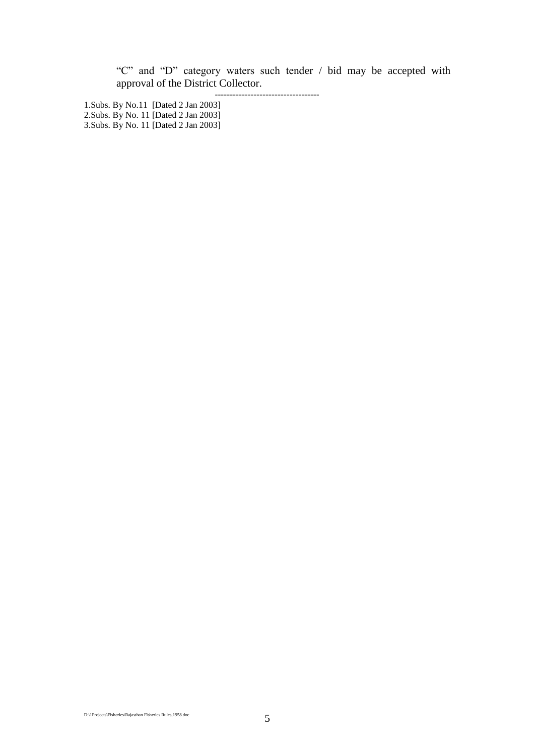"C" and "D" category waters such tender / bid may be accepted with approval of the District Collector.

-----------------------------------

1.Subs. By No.11 [Dated 2 Jan 2003] 2.Subs. By No. 11 [Dated 2 Jan 2003] 3.Subs. By No. 11 [Dated 2 Jan 2003]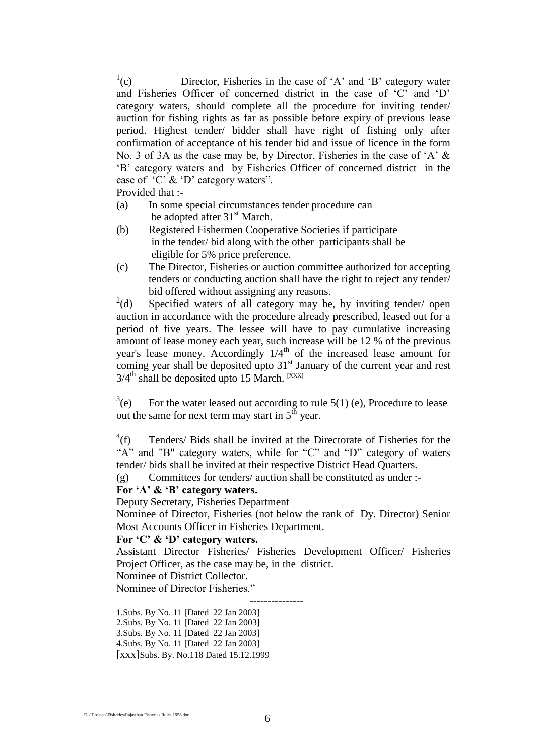$\rm^{1}(c)$ Director, Fisheries in the case of 'A' and 'B' category water and Fisheries Officer of concerned district in the case of "C" and "D" category waters, should complete all the procedure for inviting tender/ auction for fishing rights as far as possible before expiry of previous lease period. Highest tender/ bidder shall have right of fishing only after confirmation of acceptance of his tender bid and issue of licence in the form No. 3 of 3A as the case may be, by Director, Fisheries in the case of 'A' & "B" category waters and by Fisheries Officer of concerned district in the case of 'C' & 'D' category waters".

Provided that :-

- (a) In some special circumstances tender procedure can be adopted after  $31<sup>st</sup>$  March.
- (b) Registered Fishermen Cooperative Societies if participate in the tender/ bid along with the other participants shall be eligible for 5% price preference.
- (c) The Director, Fisheries or auction committee authorized for accepting tenders or conducting auction shall have the right to reject any tender/ bid offered without assigning any reasons.

 $^{2}$ (d) Specified waters of all category may be, by inviting tender/ open auction in accordance with the procedure already prescribed, leased out for a period of five years. The lessee will have to pay cumulative increasing amount of lease money each year, such increase will be 12 % of the previous year's lease money. Accordingly  $1/4<sup>th</sup>$  of the increased lease amount for coming year shall be deposited upto 31<sup>st</sup> January of the current year and rest  $3/4$ <sup>th</sup> shall be deposited upto 15 March. [XXX]

 $3(e)$ For the water leased out according to rule  $5(1)$  (e), Procedure to lease out the same for next term may start in  $5<sup>th</sup>$  year.

 $^4(f)$ Tenders/ Bids shall be invited at the Directorate of Fisheries for the "A" and "B" category waters, while for "C" and "D" category of waters tender/ bids shall be invited at their respective District Head Quarters.

(g) Committees for tenders/ auction shall be constituted as under :-

## **For 'A' & 'B' category waters.**

Deputy Secretary, Fisheries Department

Nominee of Director, Fisheries (not below the rank of Dy. Director) Senior Most Accounts Officer in Fisheries Department.

#### **For 'C' & 'D' category waters.**

Assistant Director Fisheries/ Fisheries Development Officer/ Fisheries Project Officer, as the case may be, in the district.

Nominee of District Collector.

Nominee of Director Fisheries."

 --------------- 1.Subs. By No. 11 [Dated 22 Jan 2003] 2.Subs. By No. 11 [Dated 22 Jan 2003] 3.Subs. By No. 11 [Dated 22 Jan 2003] 4.Subs. By No. 11 [Dated 22 Jan 2003] [xxx]Subs. By. No.118 Dated 15.12.1999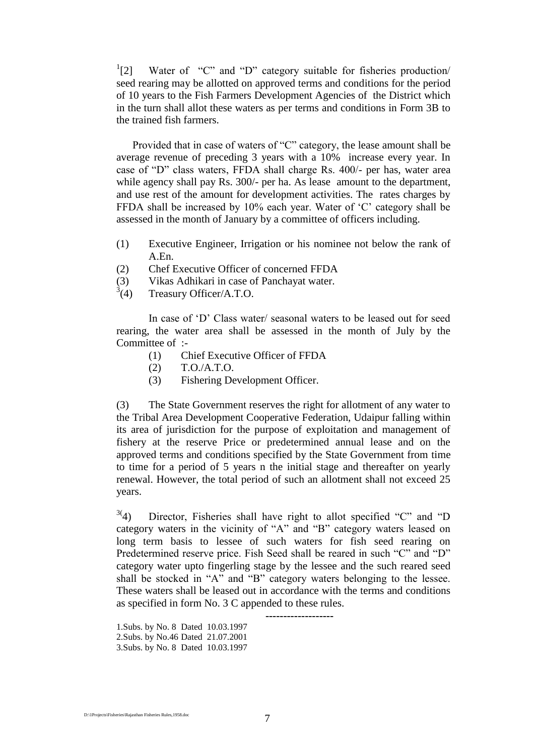$^{1}[2]$ Water of "C" and "D" category suitable for fisheries production/ seed rearing may be allotted on approved terms and conditions for the period of 10 years to the Fish Farmers Development Agencies of the District which in the turn shall allot these waters as per terms and conditions in Form 3B to the trained fish farmers.

Provided that in case of waters of "C" category, the lease amount shall be average revenue of preceding 3 years with a 10% increase every year. In case of "D" class waters, FFDA shall charge Rs. 400/- per has, water area while agency shall pay Rs. 300/- per ha. As lease amount to the department, and use rest of the amount for development activities. The rates charges by FFDA shall be increased by 10% each year. Water of 'C' category shall be assessed in the month of January by a committee of officers including.

- (1) Executive Engineer, Irrigation or his nominee not below the rank of A.En.
- (2) Chef Executive Officer of concerned FFDA
- (3) Vikas Adhikari in case of Panchayat water.
- $^{3}(4)$ Treasury Officer/A.T.O.

In case of "D" Class water/ seasonal waters to be leased out for seed rearing, the water area shall be assessed in the month of July by the Committee of :-

- (1) Chief Executive Officer of FFDA
- (2) T.O./A.T.O.
- (3) Fishering Development Officer.

(3) The State Government reserves the right for allotment of any water to the Tribal Area Development Cooperative Federation, Udaipur falling within its area of jurisdiction for the purpose of exploitation and management of fishery at the reserve Price or predetermined annual lease and on the approved terms and conditions specified by the State Government from time to time for a period of 5 years n the initial stage and thereafter on yearly renewal. However, the total period of such an allotment shall not exceed 25 years.

 $3(4)$  Director, Fisheries shall have right to allot specified "C" and "D category waters in the vicinity of "A" and "B" category waters leased on long term basis to lessee of such waters for fish seed rearing on Predetermined reserve price. Fish Seed shall be reared in such "C" and "D" category water upto fingerling stage by the lessee and the such reared seed shall be stocked in "A" and "B" category waters belonging to the lessee. These waters shall be leased out in accordance with the terms and conditions as specified in form No. 3 C appended to these rules.

**-------------------**

1.Subs. by No. 8 Dated 10.03.1997 2.Subs. by No.46 Dated 21.07.2001 3.Subs. by No. 8 Dated 10.03.1997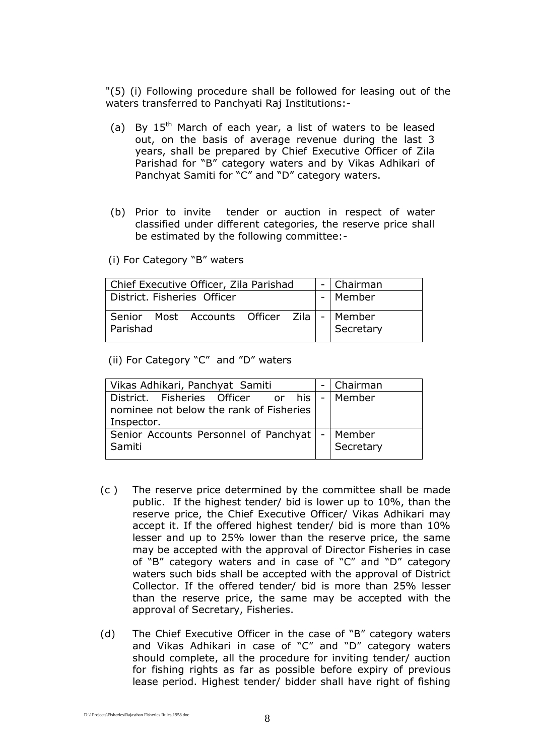"(5) (i) Following procedure shall be followed for leasing out of the waters transferred to Panchyati Raj Institutions:-

- (a) By  $15<sup>th</sup>$  March of each year, a list of waters to be leased out, on the basis of average revenue during the last 3 years, shall be prepared by Chief Executive Officer of Zila Parishad for "B" category waters and by Vikas Adhikari of Panchyat Samiti for "C" and "D" category waters.
- (b) Prior to invite tender or auction in respect of water classified under different categories, the reserve price shall be estimated by the following committee:-

(i) For Category "B" waters

| Chief Executive Officer, Zila Parishad | -   Chairman |
|----------------------------------------|--------------|
| District, Fisheries Officer            | -   Member   |
|                                        |              |

(ii) For Category "C" and "D" waters

| Vikas Adhikari, Panchyat Samiti                                                                          | Chairman  |
|----------------------------------------------------------------------------------------------------------|-----------|
| District. Fisheries Officer or his   -   Member<br>nominee not below the rank of Fisheries<br>Inspector. |           |
| Senior Accounts Personnel of Panchyat   -   Member<br>Samiti                                             | Secretary |

- (c ) The reserve price determined by the committee shall be made public. If the highest tender/ bid is lower up to 10%, than the reserve price, the Chief Executive Officer/ Vikas Adhikari may accept it. If the offered highest tender/ bid is more than 10% lesser and up to 25% lower than the reserve price, the same may be accepted with the approval of Director Fisheries in case of "B" category waters and in case of "C" and "D" category waters such bids shall be accepted with the approval of District Collector. If the offered tender/ bid is more than 25% lesser than the reserve price, the same may be accepted with the approval of Secretary, Fisheries.
- (d) The Chief Executive Officer in the case of "B" category waters and Vikas Adhikari in case of "C" and "D" category waters should complete, all the procedure for inviting tender/ auction for fishing rights as far as possible before expiry of previous lease period. Highest tender/ bidder shall have right of fishing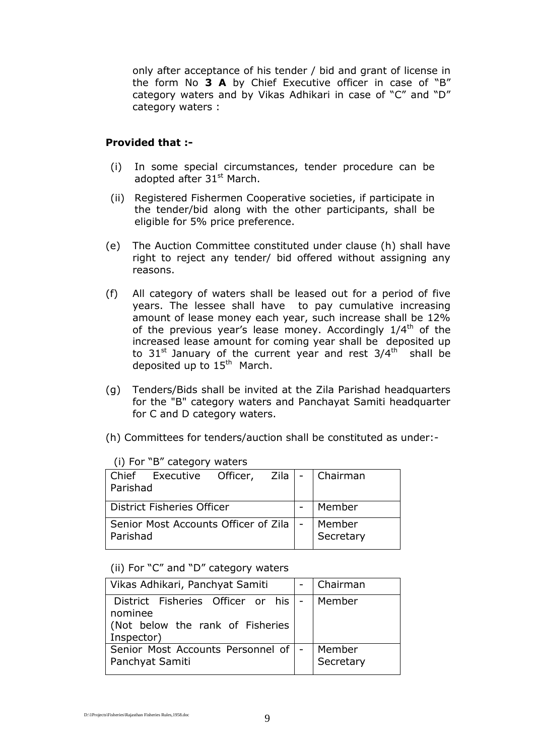only after acceptance of his tender / bid and grant of license in the form No **3 A** by Chief Executive officer in case of "B" category waters and by Vikas Adhikari in case of "C" and "D" category waters :

### **Provided that :-**

- (i) In some special circumstances, tender procedure can be adopted after 31<sup>st</sup> March.
- (ii) Registered Fishermen Cooperative societies, if participate in the tender/bid along with the other participants, shall be eligible for 5% price preference.
- (e) The Auction Committee constituted under clause (h) shall have right to reject any tender/ bid offered without assigning any reasons.
- (f) All category of waters shall be leased out for a period of five years. The lessee shall have to pay cumulative increasing amount of lease money each year, such increase shall be 12% of the previous year's lease money. Accordingly  $1/4<sup>th</sup>$  of the increased lease amount for coming year shall be deposited up to 31<sup>st</sup> January of the current year and rest 3/4<sup>th</sup> shall be deposited up to 15<sup>th</sup> March.
- (g) Tenders/Bids shall be invited at the Zila Parishad headquarters for the "B" category waters and Panchayat Samiti headquarter for C and D category waters.
- (h) Committees for tenders/auction shall be constituted as under:-

| Chief Executive Officer, Zila   -   Chairman<br>Parishad |  |                     |
|----------------------------------------------------------|--|---------------------|
| <b>District Fisheries Officer</b>                        |  | Member              |
| Senior Most Accounts Officer of Zila   -<br>Parishad     |  | Member<br>Secretary |

(i) For "B" category waters

(ii) For "C" and "D" category waters

| Vikas Adhikari, Panchyat Samiti       |  | Chairman  |
|---------------------------------------|--|-----------|
| District Fisheries Officer or his  -  |  | Member    |
| nominee                               |  |           |
| (Not below the rank of Fisheries      |  |           |
| Inspector)                            |  |           |
| Senior Most Accounts Personnel of   - |  | Member    |
| Panchyat Samiti                       |  | Secretary |
|                                       |  |           |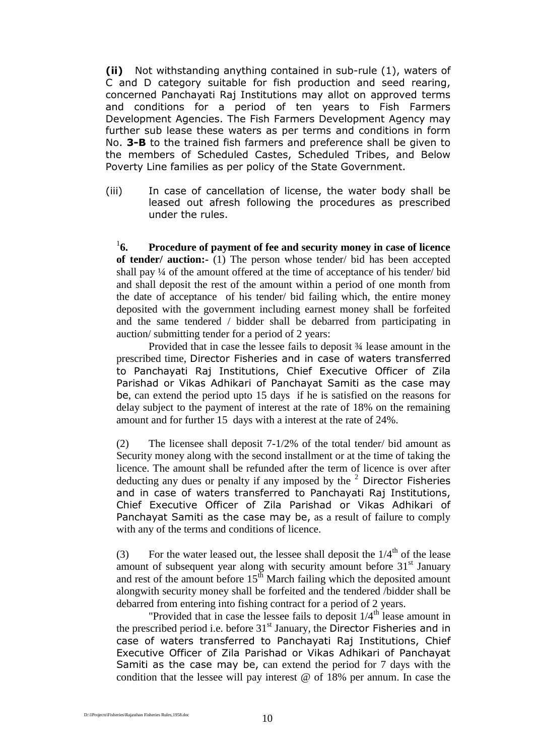**(ii)** Not withstanding anything contained in sub-rule (1), waters of C and D category suitable for fish production and seed rearing, concerned Panchayati Raj Institutions may allot on approved terms and conditions for a period of ten years to Fish Farmers Development Agencies. The Fish Farmers Development Agency may further sub lease these waters as per terms and conditions in form No. **3-B** to the trained fish farmers and preference shall be given to the members of Scheduled Castes, Scheduled Tribes, and Below Poverty Line families as per policy of the State Government.

(iii) In case of cancellation of license, the water body shall be leased out afresh following the procedures as prescribed under the rules.

 $^{1}$ 6. **6. Procedure of payment of fee and security money in case of licence of tender/ auction:-** (1) The person whose tender/ bid has been accepted shall pay ¼ of the amount offered at the time of acceptance of his tender/ bid and shall deposit the rest of the amount within a period of one month from the date of acceptance of his tender/ bid failing which, the entire money deposited with the government including earnest money shall be forfeited and the same tendered / bidder shall be debarred from participating in auction/ submitting tender for a period of 2 years:

Provided that in case the lessee fails to deposit ¾ lease amount in the prescribed time, Director Fisheries and in case of waters transferred to Panchayati Raj Institutions, Chief Executive Officer of Zila Parishad or Vikas Adhikari of Panchayat Samiti as the case may be, can extend the period upto 15 days if he is satisfied on the reasons for delay subject to the payment of interest at the rate of 18% on the remaining amount and for further 15 days with a interest at the rate of 24%.

(2) The licensee shall deposit 7-1/2% of the total tender/ bid amount as Security money along with the second installment or at the time of taking the licence. The amount shall be refunded after the term of licence is over after deducting any dues or penalty if any imposed by the  $2$  Director Fisheries and in case of waters transferred to Panchayati Raj Institutions, Chief Executive Officer of Zila Parishad or Vikas Adhikari of Panchayat Samiti as the case may be, as a result of failure to comply with any of the terms and conditions of licence.

(3) For the water leased out, the lessee shall deposit the  $1/4^{th}$  of the lease amount of subsequent year along with security amount before  $31<sup>st</sup>$  January and rest of the amount before  $15<sup>th</sup>$  March failing which the deposited amount alongwith security money shall be forfeited and the tendered /bidder shall be debarred from entering into fishing contract for a period of 2 years.

"Provided that in case the lessee fails to deposit  $1/4$ <sup>th</sup> lease amount in the prescribed period i.e. before  $31<sup>st</sup>$  January, the Director Fisheries and in case of waters transferred to Panchayati Raj Institutions, Chief Executive Officer of Zila Parishad or Vikas Adhikari of Panchayat Samiti as the case may be, can extend the period for 7 days with the condition that the lessee will pay interest @ of 18% per annum. In case the

D:\1Projects\Fisheries\Rajasthan Fisheries Rules,1958.doc 10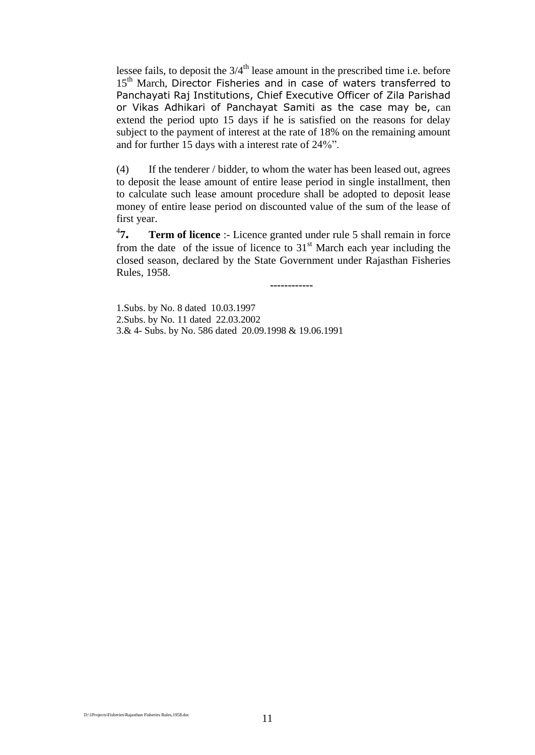lessee fails, to deposit the  $3/4<sup>th</sup>$  lease amount in the prescribed time i.e. before 15<sup>th</sup> March, Director Fisheries and in case of waters transferred to Panchayati Raj Institutions, Chief Executive Officer of Zila Parishad or Vikas Adhikari of Panchayat Samiti as the case may be, can extend the period upto 15 days if he is satisfied on the reasons for delay subject to the payment of interest at the rate of 18% on the remaining amount and for further 15 days with a interest rate of 24%".

(4) If the tenderer / bidder, to whom the water has been leased out, agrees to deposit the lease amount of entire lease period in single installment, then to calculate such lease amount procedure shall be adopted to deposit lease money of entire lease period on discounted value of the sum of the lease of first year.

 $^{4}7.$ **Term of licence** :- Licence granted under rule 5 shall remain in force from the date of the issue of licence to  $31<sup>st</sup>$  March each year including the closed season, declared by the State Government under Rajasthan Fisheries Rules, 1958.

**------------**

1.Subs. by No. 8 dated 10.03.1997 2.Subs. by No. 11 dated 22.03.2002 3.& 4- Subs. by No. 586 dated 20.09.1998 & 19.06.1991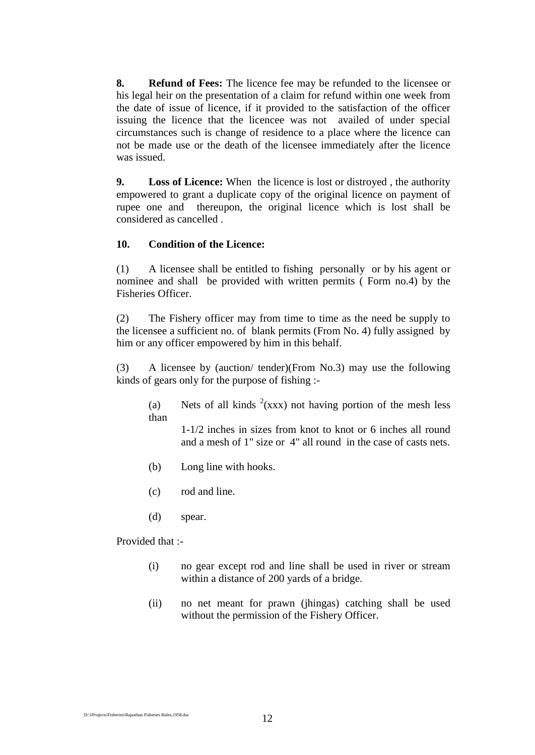**8. Refund of Fees:** The licence fee may be refunded to the licensee or his legal heir on the presentation of a claim for refund within one week from the date of issue of licence, if it provided to the satisfaction of the officer issuing the licence that the licencee was not availed of under special circumstances such is change of residence to a place where the licence can not be made use or the death of the licensee immediately after the licence was issued.

**9. Loss of Licence:** When the licence is lost or distroyed , the authority empowered to grant a duplicate copy of the original licence on payment of rupee one and thereupon, the original licence which is lost shall be considered as cancelled .

#### **10. Condition of the Licence:**

(1) A licensee shall be entitled to fishing personally or by his agent or nominee and shall be provided with written permits ( Form no.4) by the Fisheries Officer.

(2) The Fishery officer may from time to time as the need be supply to the licensee a sufficient no. of blank permits (From No. 4) fully assigned by him or any officer empowered by him in this behalf.

(3) A licensee by (auction/ tender)(From No.3) may use the following kinds of gears only for the purpose of fishing :-

(a) Nets of all kinds  $2(xxx)$  not having portion of the mesh less than

1-1/2 inches in sizes from knot to knot or 6 inches all round and a mesh of 1" size or 4" all round in the case of casts nets.

- (b) Long line with hooks.
- (c) rod and line.
- (d) spear.

Provided that :-

- (i) no gear except rod and line shall be used in river or stream within a distance of 200 yards of a bridge.
- (ii) no net meant for prawn (jhingas) catching shall be used without the permission of the Fishery Officer.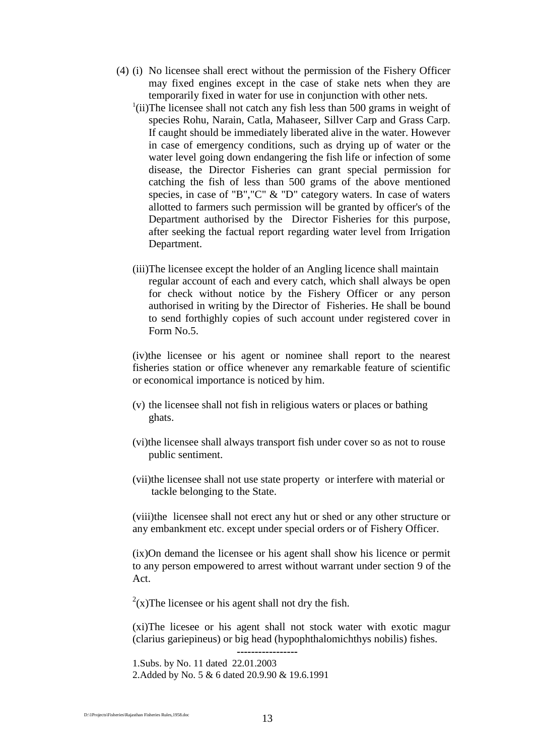- (4) (i) No licensee shall erect without the permission of the Fishery Officer may fixed engines except in the case of stake nets when they are temporarily fixed in water for use in conjunction with other nets.
	- <sup>1</sup>(ii)The licensee shall not catch any fish less than 500 grams in weight of species Rohu, Narain, Catla, Mahaseer, Sillver Carp and Grass Carp. If caught should be immediately liberated alive in the water. However in case of emergency conditions, such as drying up of water or the water level going down endangering the fish life or infection of some disease, the Director Fisheries can grant special permission for catching the fish of less than 500 grams of the above mentioned species, in case of "B","C" & "D" category waters. In case of waters allotted to farmers such permission will be granted by officer's of the Department authorised by the Director Fisheries for this purpose, after seeking the factual report regarding water level from Irrigation Department.
	- (iii)The licensee except the holder of an Angling licence shall maintain regular account of each and every catch, which shall always be open for check without notice by the Fishery Officer or any person authorised in writing by the Director of Fisheries. He shall be bound to send forthighly copies of such account under registered cover in Form No.5.

(iv)the licensee or his agent or nominee shall report to the nearest fisheries station or office whenever any remarkable feature of scientific or economical importance is noticed by him.

- (v) the licensee shall not fish in religious waters or places or bathing ghats.
- (vi)the licensee shall always transport fish under cover so as not to rouse public sentiment.
- (vii)the licensee shall not use state property or interfere with material or tackle belonging to the State.

(viii)the licensee shall not erect any hut or shed or any other structure or any embankment etc. except under special orders or of Fishery Officer.

(ix)On demand the licensee or his agent shall show his licence or permit to any person empowered to arrest without warrant under section 9 of the Act.

 $2(x)$ The licensee or his agent shall not dry the fish.

(xi)The licesee or his agent shall not stock water with exotic magur (clarius gariepineus) or big head (hypophthalomichthys nobilis) fishes.

**-----------------** 1.Subs. by No. 11 dated 22.01.2003

2.Added by No. 5 & 6 dated 20.9.90 & 19.6.1991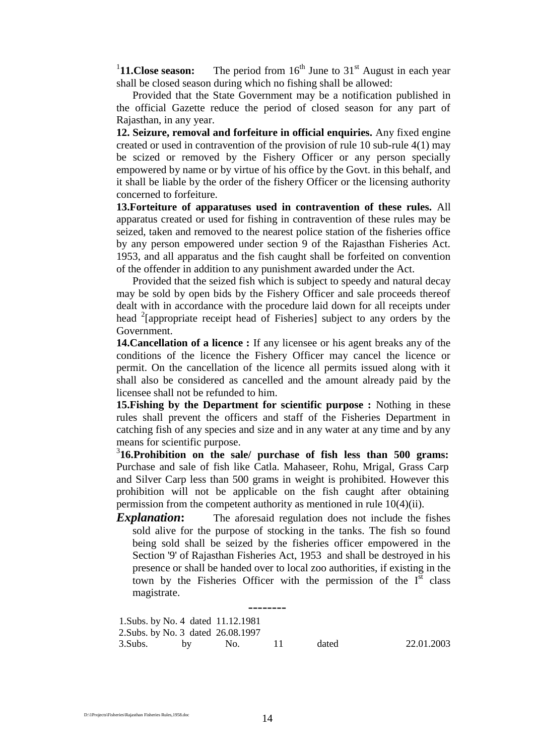$11.$ Close season: The period from 16<sup>th</sup> June to 31<sup>st</sup> August in each year shall be closed season during which no fishing shall be allowed:

Provided that the State Government may be a notification published in the official Gazette reduce the period of closed season for any part of Rajasthan, in any year.

**12. Seizure, removal and forfeiture in official enquiries.** Any fixed engine created or used in contravention of the provision of rule 10 sub-rule 4(1) may be scized or removed by the Fishery Officer or any person specially empowered by name or by virtue of his office by the Govt. in this behalf, and it shall be liable by the order of the fishery Officer or the licensing authority concerned to forfeiture.

**13.Forteiture of apparatuses used in contravention of these rules.** All apparatus created or used for fishing in contravention of these rules may be seized, taken and removed to the nearest police station of the fisheries office by any person empowered under section 9 of the Rajasthan Fisheries Act. 1953, and all apparatus and the fish caught shall be forfeited on convention of the offender in addition to any punishment awarded under the Act.

Provided that the seized fish which is subject to speedy and natural decay may be sold by open bids by the Fishery Officer and sale proceeds thereof dealt with in accordance with the procedure laid down for all receipts under head <sup>2</sup> [appropriate receipt head of Fisheries] subject to any orders by the Government.

**14.Cancellation of a licence :** If any licensee or his agent breaks any of the conditions of the licence the Fishery Officer may cancel the licence or permit. On the cancellation of the licence all permits issued along with it shall also be considered as cancelled and the amount already paid by the licensee shall not be refunded to him.

**15.Fishing by the Department for scientific purpose :** Nothing in these rules shall prevent the officers and staff of the Fisheries Department in catching fish of any species and size and in any water at any time and by any means for scientific purpose.

3 **16.Prohibition on the sale/ purchase of fish less than 500 grams:**  Purchase and sale of fish like Catla. Mahaseer, Rohu, Mrigal, Grass Carp and Silver Carp less than 500 grams in weight is prohibited. However this prohibition will not be applicable on the fish caught after obtaining permission from the competent authority as mentioned in rule 10(4)(ii).

**Explanation:** The aforesaid regulation does not include the fishes sold alive for the purpose of stocking in the tanks. The fish so found being sold shall be seized by the fisheries officer empowered in the Section '9' of Rajasthan Fisheries Act, 1953 and shall be destroyed in his presence or shall be handed over to local zoo authorities, if existing in the town by the Fisheries Officer with the permission of the  $I<sup>st</sup>$  class magistrate.

-------- 1.Subs. by No. 4 dated 11.12.1981 2.Subs. by No. 3 dated 26.08.1997 3.Subs. by No. 11 dated 22.01.2003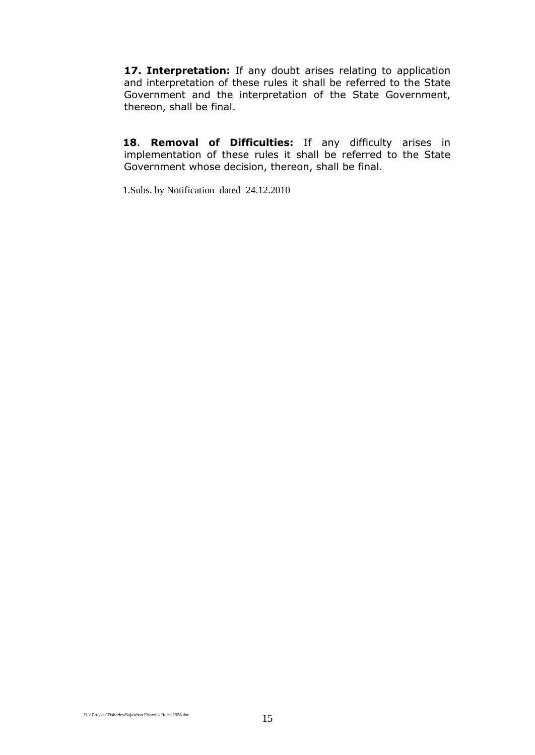17. Interpretation: If any doubt arises relating to application and interpretation of these rules it shall be referred to the State Government and the interpretation of the State Government, thereon, shall be final.

**18**. **Removal of Difficulties:** If any difficulty arises in implementation of these rules it shall be referred to the State Government whose decision, thereon, shall be final.

1.Subs. by Notification dated 24.12.2010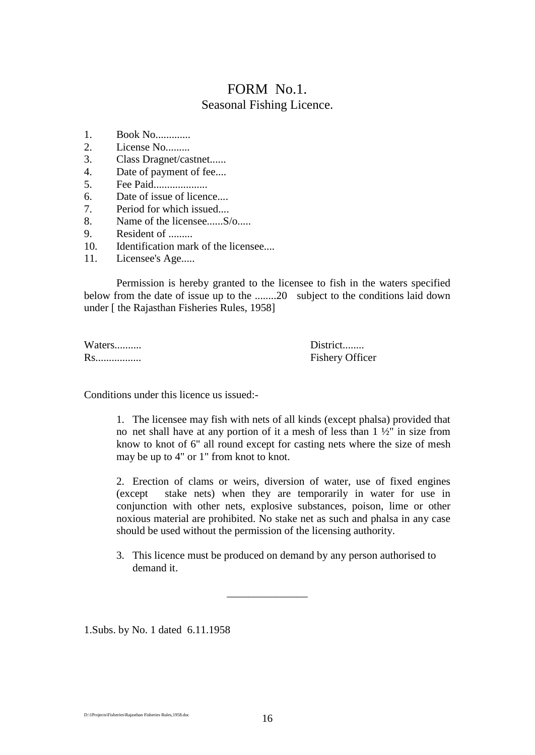# FORM No.1. Seasonal Fishing Licence.

- 1. Book No.............
- 2. License No.........
- 3. Class Dragnet/castnet......
- 4. Date of payment of fee....
- 5. Fee Paid....................
- 6. Date of issue of licence....
- 7. Period for which issued....
- 8. Name of the licensee......S/o.....
- 9. Resident of .........
- 10. Identification mark of the licensee....
- 11. Licensee's Age.....

Permission is hereby granted to the licensee to fish in the waters specified below from the date of issue up to the ........20 subject to the conditions laid down under [ the Rajasthan Fisheries Rules, 1958]

Waters.......... District........

Rs................. Fishery Officer

Conditions under this licence us issued:-

1. The licensee may fish with nets of all kinds (except phalsa) provided that no net shall have at any portion of it a mesh of less than  $1 \frac{1}{2}$ " in size from know to knot of 6" all round except for casting nets where the size of mesh may be up to 4" or 1" from knot to knot.

2. Erection of clams or weirs, diversion of water, use of fixed engines (except stake nets) when they are temporarily in water for use in conjunction with other nets, explosive substances, poison, lime or other noxious material are prohibited. No stake net as such and phalsa in any case should be used without the permission of the licensing authority.

3. This licence must be produced on demand by any person authorised to demand it.

\_\_\_\_\_\_\_\_\_\_\_\_\_\_\_

1.Subs. by No. 1 dated 6.11.1958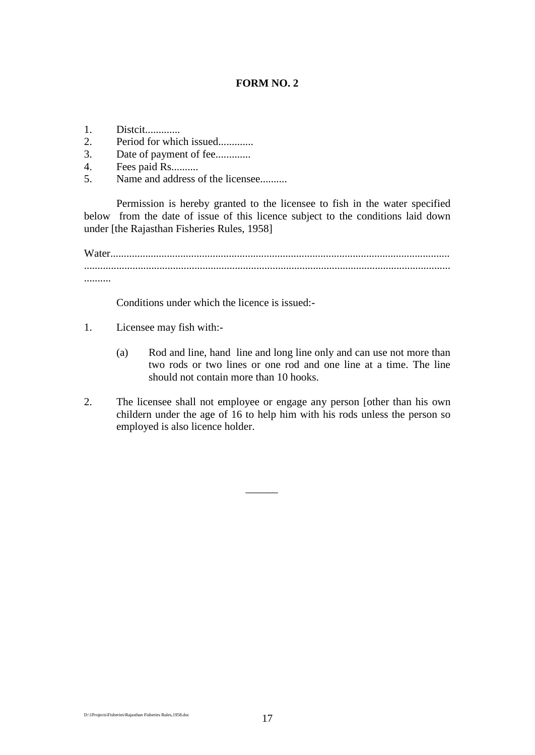#### **FORM NO. 2**

- 1. Distcit.............
- 2. Period for which issued.............
- 3. Date of payment of fee..............
- 4. Fees paid Rs..........
- 5. Name and address of the licensee..........

Permission is hereby granted to the licensee to fish in the water specified below from the date of issue of this licence subject to the conditions laid down under [the Rajasthan Fisheries Rules, 1958]

Water.............................................................................................................................. ........................................................................................................................................ ..........

Conditions under which the licence is issued:-

- 1. Licensee may fish with:-
	- (a) Rod and line, hand line and long line only and can use not more than two rods or two lines or one rod and one line at a time. The line should not contain more than 10 hooks.
- 2. The licensee shall not employee or engage any person [other than his own childern under the age of 16 to help him with his rods unless the person so employed is also licence holder.

 $\overline{\phantom{a}}$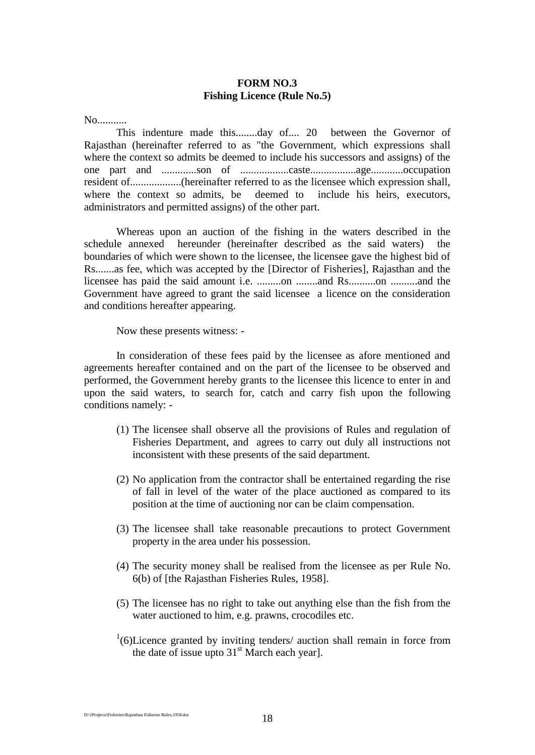#### **FORM NO.3 Fishing Licence (Rule No.5)**

No...........

This indenture made this........day of.... 20 between the Governor of Rajasthan (hereinafter referred to as "the Government, which expressions shall where the context so admits be deemed to include his successors and assigns) of the one part and .............son of ..................caste.................age............occupation resident of...................(hereinafter referred to as the licensee which expression shall, where the context so admits, be deemed to include his heirs, executors, administrators and permitted assigns) of the other part.

Whereas upon an auction of the fishing in the waters described in the schedule annexed hereunder (hereinafter described as the said waters) boundaries of which were shown to the licensee, the licensee gave the highest bid of Rs.......as fee, which was accepted by the [Director of Fisheries], Rajasthan and the licensee has paid the said amount i.e. .........on ........and Rs..........on ..........and the Government have agreed to grant the said licensee a licence on the consideration and conditions hereafter appearing.

Now these presents witness: -

In consideration of these fees paid by the licensee as afore mentioned and agreements hereafter contained and on the part of the licensee to be observed and performed, the Government hereby grants to the licensee this licence to enter in and upon the said waters, to search for, catch and carry fish upon the following conditions namely: -

- (1) The licensee shall observe all the provisions of Rules and regulation of Fisheries Department, and agrees to carry out duly all instructions not inconsistent with these presents of the said department.
- (2) No application from the contractor shall be entertained regarding the rise of fall in level of the water of the place auctioned as compared to its position at the time of auctioning nor can be claim compensation.
- (3) The licensee shall take reasonable precautions to protect Government property in the area under his possession.
- (4) The security money shall be realised from the licensee as per Rule No. 6(b) of [the Rajasthan Fisheries Rules, 1958].
- (5) The licensee has no right to take out anything else than the fish from the water auctioned to him, e.g. prawns, crocodiles etc.
- $1(6)$ Licence granted by inviting tenders/ auction shall remain in force from the date of issue upto  $31<sup>st</sup>$  March each year].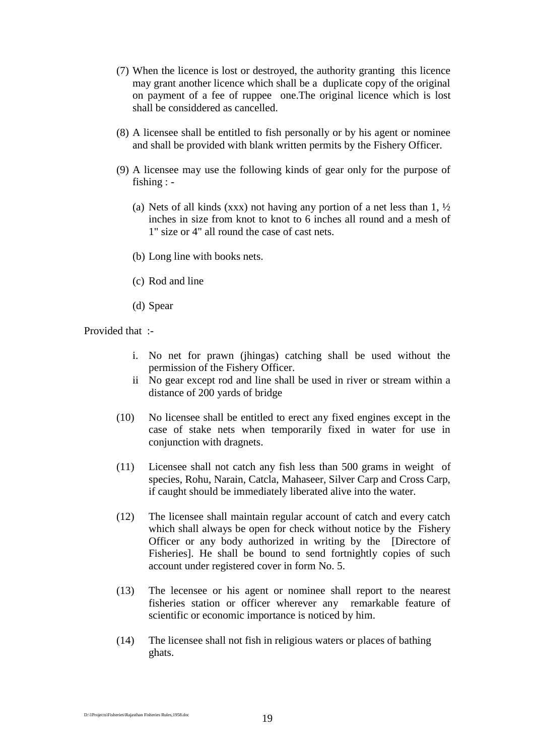- (7) When the licence is lost or destroyed, the authority granting this licence may grant another licence which shall be a duplicate copy of the original on payment of a fee of ruppee one.The original licence which is lost shall be considdered as cancelled.
- (8) A licensee shall be entitled to fish personally or by his agent or nominee and shall be provided with blank written permits by the Fishery Officer.
- (9) A licensee may use the following kinds of gear only for the purpose of fishing : -
	- (a) Nets of all kinds (xxx) not having any portion of a net less than  $1, \frac{1}{2}$ inches in size from knot to knot to 6 inches all round and a mesh of 1" size or 4" all round the case of cast nets.
	- (b) Long line with books nets.
	- (c) Rod and line
	- (d) Spear

Provided that :-

- i. No net for prawn (jhingas) catching shall be used without the permission of the Fishery Officer.
- ii No gear except rod and line shall be used in river or stream within a distance of 200 yards of bridge
- (10) No licensee shall be entitled to erect any fixed engines except in the case of stake nets when temporarily fixed in water for use in conjunction with dragnets.
- (11) Licensee shall not catch any fish less than 500 grams in weight of species, Rohu, Narain, Catcla, Mahaseer, Silver Carp and Cross Carp, if caught should be immediately liberated alive into the water.
- (12) The licensee shall maintain regular account of catch and every catch which shall always be open for check without notice by the Fishery Officer or any body authorized in writing by the [Directore of Fisheries]. He shall be bound to send fortnightly copies of such account under registered cover in form No. 5.
- (13) The lecensee or his agent or nominee shall report to the nearest fisheries station or officer wherever any remarkable feature of scientific or economic importance is noticed by him.
- (14) The licensee shall not fish in religious waters or places of bathing ghats.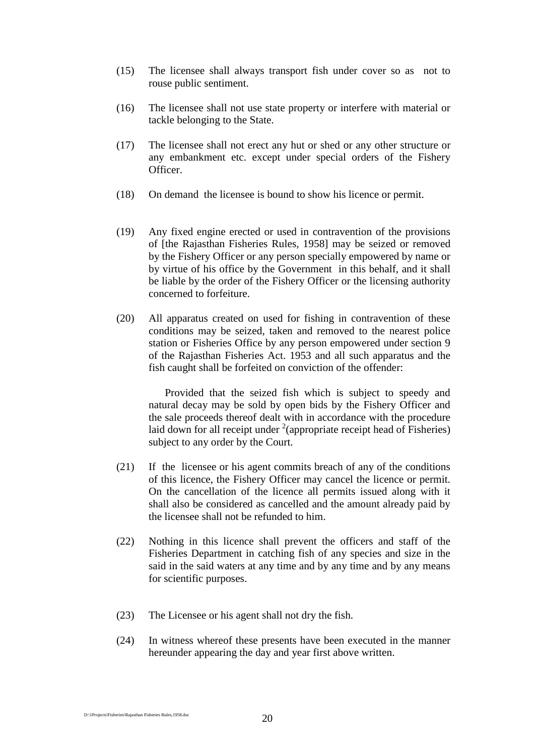- (15) The licensee shall always transport fish under cover so as not to rouse public sentiment.
- (16) The licensee shall not use state property or interfere with material or tackle belonging to the State.
- (17) The licensee shall not erect any hut or shed or any other structure or any embankment etc. except under special orders of the Fishery Officer.
- (18) On demand the licensee is bound to show his licence or permit.
- (19) Any fixed engine erected or used in contravention of the provisions of [the Rajasthan Fisheries Rules, 1958] may be seized or removed by the Fishery Officer or any person specially empowered by name or by virtue of his office by the Government in this behalf, and it shall be liable by the order of the Fishery Officer or the licensing authority concerned to forfeiture.
- (20) All apparatus created on used for fishing in contravention of these conditions may be seized, taken and removed to the nearest police station or Fisheries Office by any person empowered under section 9 of the Rajasthan Fisheries Act. 1953 and all such apparatus and the fish caught shall be forfeited on conviction of the offender:

Provided that the seized fish which is subject to speedy and natural decay may be sold by open bids by the Fishery Officer and the sale proceeds thereof dealt with in accordance with the procedure laid down for all receipt under  $2$ (appropriate receipt head of Fisheries) subject to any order by the Court.

- (21) If the licensee or his agent commits breach of any of the conditions of this licence, the Fishery Officer may cancel the licence or permit. On the cancellation of the licence all permits issued along with it shall also be considered as cancelled and the amount already paid by the licensee shall not be refunded to him.
- (22) Nothing in this licence shall prevent the officers and staff of the Fisheries Department in catching fish of any species and size in the said in the said waters at any time and by any time and by any means for scientific purposes.
- (23) The Licensee or his agent shall not dry the fish.
- (24) In witness whereof these presents have been executed in the manner hereunder appearing the day and year first above written.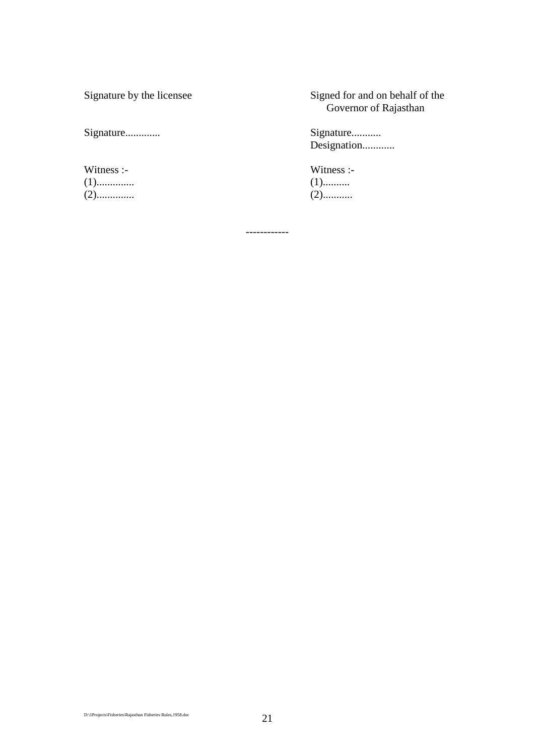Witness :- Witness :- Witness :- Witness :- Witness :- Witness :- 2014 (1).............. (1).......... (2).............. (2)...........

Signature by the licensee Signed for and on behalf of the Governor of Rajasthan

Signature............. Signature........... Designation............

------------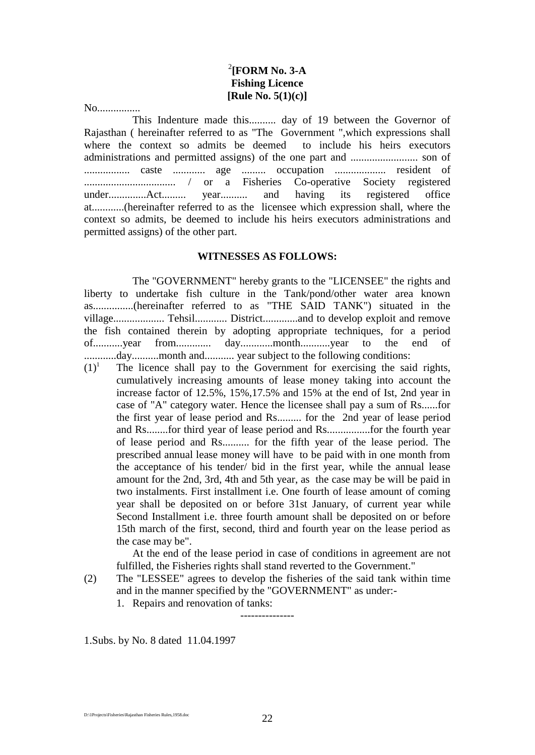# 2 **[FORM No. 3-A Fishing Licence [Rule No. 5(1)(c)]**

No................

This Indenture made this.......... day of 19 between the Governor of Rajasthan ( hereinafter referred to as "The Government ",which expressions shall where the context so admits be deemed to include his heirs executors administrations and permitted assigns) of the one part and ......................... son of ................. caste ............ age ......... occupation ................... resident of .................................. / or a Fisheries Co-operative Society registered under..............Act......... year.......... and having its registered office at............(hereinafter referred to as the licensee which expression shall, where the context so admits, be deemed to include his heirs executors administrations and permitted assigns) of the other part.

#### **WITNESSES AS FOLLOWS:**

The "GOVERNMENT" hereby grants to the "LICENSEE" the rights and liberty to undertake fish culture in the Tank/pond/other water area known as...............(hereinafter referred to as "THE SAID TANK") situated in the village................... Tehsil............ District.............and to develop exploit and remove the fish contained therein by adopting appropriate techniques, for a period of...........year from............. day............month...........year to the end of ............day..........month and........... year subject to the following conditions:

 $(1)^1$  The licence shall pay to the Government for exercising the said rights, cumulatively increasing amounts of lease money taking into account the increase factor of 12.5%, 15%,17.5% and 15% at the end of Ist, 2nd year in case of "A" category water. Hence the licensee shall pay a sum of Rs......for the first year of lease period and Rs......... for the 2nd year of lease period and Rs........for third year of lease period and Rs................for the fourth year of lease period and Rs.......... for the fifth year of the lease period. The prescribed annual lease money will have to be paid with in one month from the acceptance of his tender/ bid in the first year, while the annual lease amount for the 2nd, 3rd, 4th and 5th year, as the case may be will be paid in two instalments. First installment i.e. One fourth of lease amount of coming year shall be deposited on or before 31st January, of current year while Second Installment i.e. three fourth amount shall be deposited on or before 15th march of the first, second, third and fourth year on the lease period as the case may be".

At the end of the lease period in case of conditions in agreement are not fulfilled, the Fisheries rights shall stand reverted to the Government."

(2) The "LESSEE" agrees to develop the fisheries of the said tank within time and in the manner specified by the "GOVERNMENT" as under:-

---------------

1. Repairs and renovation of tanks:

1.Subs. by No. 8 dated 11.04.1997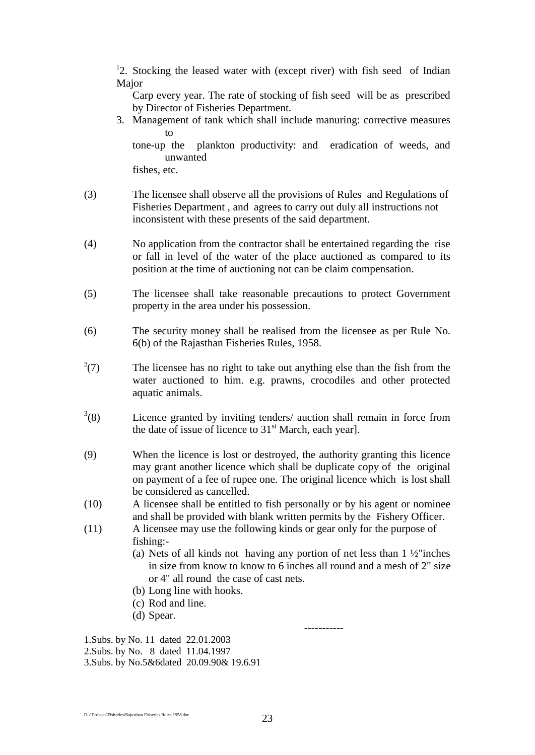<sup>1</sup>2. Stocking the leased water with (except river) with fish seed of Indian Major

Carp every year. The rate of stocking of fish seed will be as prescribed by Director of Fisheries Department.

3. Management of tank which shall include manuring: corrective measures to

tone-up the plankton productivity: and eradication of weeds, and unwanted

fishes, etc.

- (3) The licensee shall observe all the provisions of Rules and Regulations of Fisheries Department , and agrees to carry out duly all instructions not inconsistent with these presents of the said department.
- (4) No application from the contractor shall be entertained regarding the rise or fall in level of the water of the place auctioned as compared to its position at the time of auctioning not can be claim compensation.
- (5) The licensee shall take reasonable precautions to protect Government property in the area under his possession.
- (6) The security money shall be realised from the licensee as per Rule No. 6(b) of the Rajasthan Fisheries Rules, 1958.
- $^{2}(7)$ The licensee has no right to take out anything else than the fish from the water auctioned to him. e.g. prawns, crocodiles and other protected aquatic animals.
- $3(8)$ Licence granted by inviting tenders/ auction shall remain in force from the date of issue of licence to  $31<sup>st</sup>$  March, each year].
- (9) When the licence is lost or destroyed, the authority granting this licence may grant another licence which shall be duplicate copy of the original on payment of a fee of rupee one. The original licence which is lost shall be considered as cancelled.
- (10) A licensee shall be entitled to fish personally or by his agent or nominee and shall be provided with blank written permits by the Fishery Officer.
- (11) A licensee may use the following kinds or gear only for the purpose of fishing:-
	- (a) Nets of all kinds not having any portion of net less than  $1\frac{1}{2}$  inches in size from know to know to 6 inches all round and a mesh of 2" size or 4" all round the case of cast nets.

-----------

- (b) Long line with hooks.
- (c) Rod and line.
- (d) Spear.

1.Subs. by No. 11 dated 22.01.2003 2.Subs. by No. 8 dated 11.04.1997

3.Subs. by No.5&6dated 20.09.90& 19.6.91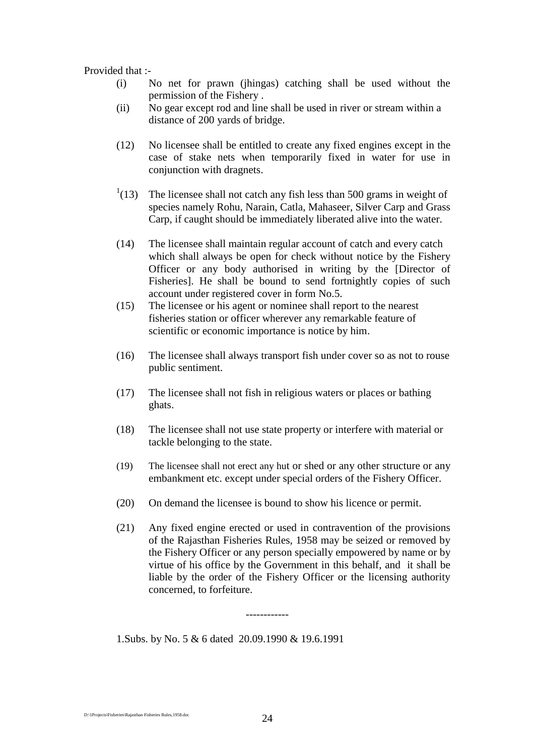#### Provided that :-

- (i) No net for prawn (jhingas) catching shall be used without the permission of the Fishery .
- (ii) No gear except rod and line shall be used in river or stream within a distance of 200 yards of bridge.
- (12) No licensee shall be entitled to create any fixed engines except in the case of stake nets when temporarily fixed in water for use in conjunction with dragnets.
- $^{1}(13)$ The licensee shall not catch any fish less than 500 grams in weight of species namely Rohu, Narain, Catla, Mahaseer, Silver Carp and Grass Carp, if caught should be immediately liberated alive into the water.
- (14) The licensee shall maintain regular account of catch and every catch which shall always be open for check without notice by the Fishery Officer or any body authorised in writing by the [Director of Fisheries]. He shall be bound to send fortnightly copies of such account under registered cover in form No.5.
- (15) The licensee or his agent or nominee shall report to the nearest fisheries station or officer wherever any remarkable feature of scientific or economic importance is notice by him.
- (16) The licensee shall always transport fish under cover so as not to rouse public sentiment.
- (17) The licensee shall not fish in religious waters or places or bathing ghats.
- (18) The licensee shall not use state property or interfere with material or tackle belonging to the state.
- (19) The licensee shall not erect any hut or shed or any other structure or any embankment etc. except under special orders of the Fishery Officer.
- (20) On demand the licensee is bound to show his licence or permit.
- (21) Any fixed engine erected or used in contravention of the provisions of the Rajasthan Fisheries Rules, 1958 may be seized or removed by the Fishery Officer or any person specially empowered by name or by virtue of his office by the Government in this behalf, and it shall be liable by the order of the Fishery Officer or the licensing authority concerned, to forfeiture.

1.Subs. by No. 5 & 6 dated 20.09.1990 & 19.6.1991

------------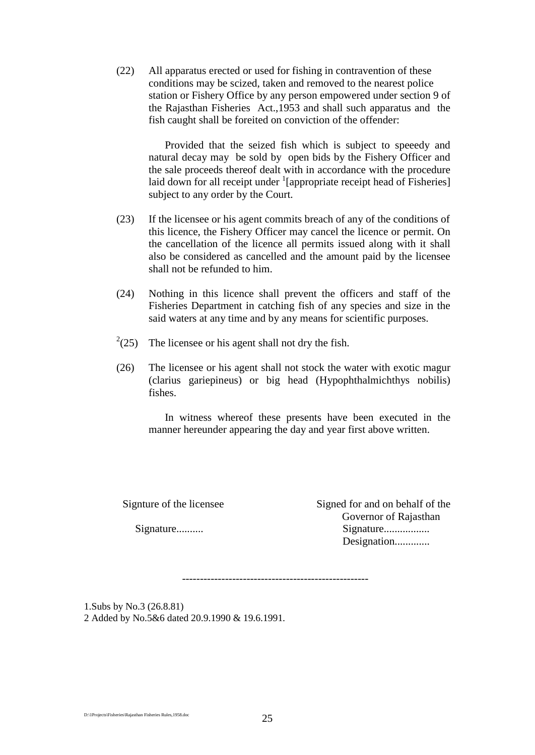(22) All apparatus erected or used for fishing in contravention of these conditions may be scized, taken and removed to the nearest police station or Fishery Office by any person empowered under section 9 of the Rajasthan Fisheries Act.,1953 and shall such apparatus and the fish caught shall be foreited on conviction of the offender:

Provided that the seized fish which is subject to speeedy and natural decay may be sold by open bids by the Fishery Officer and the sale proceeds thereof dealt with in accordance with the procedure laid down for all receipt under  $\frac{1}{2}$  [appropriate receipt head of Fisheries] subject to any order by the Court.

- (23) If the licensee or his agent commits breach of any of the conditions of this licence, the Fishery Officer may cancel the licence or permit. On the cancellation of the licence all permits issued along with it shall also be considered as cancelled and the amount paid by the licensee shall not be refunded to him.
- (24) Nothing in this licence shall prevent the officers and staff of the Fisheries Department in catching fish of any species and size in the said waters at any time and by any means for scientific purposes.
- $^{2}(25)$ The licensee or his agent shall not dry the fish.
- (26) The licensee or his agent shall not stock the water with exotic magur (clarius gariepineus) or big head (Hypophthalmichthys nobilis) fishes.

In witness whereof these presents have been executed in the manner hereunder appearing the day and year first above written.

Signture of the licensee Signed for and on behalf of the Governor of Rajasthan Signature.......... Signature................. Designation.............

----------------------------------------------------

1.Subs by No.3 (26.8.81) 2 Added by No.5&6 dated 20.9.1990 & 19.6.1991.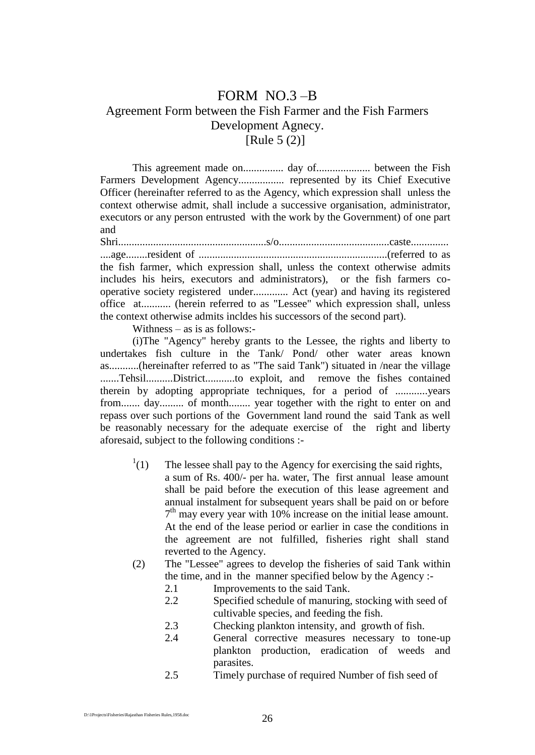# FORM NO.3 –B Agreement Form between the Fish Farmer and the Fish Farmers Development Agnecy. [Rule 5 (2)]

This agreement made on............... day of.................... between the Fish Farmers Development Agency................. represented by its Chief Executive Officer (hereinafter referred to as the Agency, which expression shall unless the context otherwise admit, shall include a successive organisation, administrator, executors or any person entrusted with the work by the Government) of one part and

Shri.......................................................s/o.........................................caste.............. ....age........resident of ......................................................................(referred to as the fish farmer, which expression shall, unless the context otherwise admits includes his heirs, executors and administrators), or the fish farmers cooperative society registered under............. Act (year) and having its registered office at........... (herein referred to as "Lessee" which expression shall, unless the context otherwise admits incldes his successors of the second part).

Withness – as is as follows:-

(i)The "Agency" hereby grants to the Lessee, the rights and liberty to undertakes fish culture in the Tank/ Pond/ other water areas known as...........(hereinafter referred to as "The said Tank") situated in /near the village .......Tehsil..........District...........to exploit, and remove the fishes contained therein by adopting appropriate techniques, for a period of ............years from....... day......... of month........ year together with the right to enter on and repass over such portions of the Government land round the said Tank as well be reasonably necessary for the adequate exercise of the right and liberty aforesaid, subject to the following conditions :-

- $^{1}(1)$ The lessee shall pay to the Agency for exercising the said rights, a sum of Rs. 400/- per ha. water, The first annual lease amount shall be paid before the execution of this lease agreement and annual instalment for subsequent years shall be paid on or before 7<sup>th</sup> may every year with 10% increase on the initial lease amount. At the end of the lease period or earlier in case the conditions in the agreement are not fulfilled, fisheries right shall stand reverted to the Agency.
- (2) The "Lessee" agrees to develop the fisheries of said Tank within the time, and in the manner specified below by the Agency :-
	- 2.1 Improvements to the said Tank.
	- 2.2 Specified schedule of manuring, stocking with seed of cultivable species, and feeding the fish.
	- 2.3 Checking plankton intensity, and growth of fish.
	- 2.4 General corrective measures necessary to tone-up plankton production, eradication of weeds and parasites.
	- 2.5 Timely purchase of required Number of fish seed of

D:\1Projects\Fisheries\Rajasthan Fisheries Rules,1958.doc 26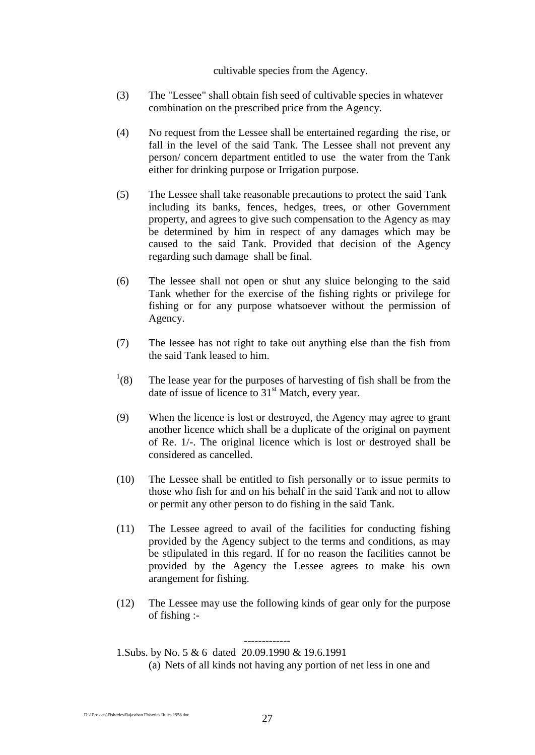#### cultivable species from the Agency.

- (3) The "Lessee" shall obtain fish seed of cultivable species in whatever combination on the prescribed price from the Agency.
- (4) No request from the Lessee shall be entertained regarding the rise, or fall in the level of the said Tank. The Lessee shall not prevent any person/ concern department entitled to use the water from the Tank either for drinking purpose or Irrigation purpose.
- (5) The Lessee shall take reasonable precautions to protect the said Tank including its banks, fences, hedges, trees, or other Government property, and agrees to give such compensation to the Agency as may be determined by him in respect of any damages which may be caused to the said Tank. Provided that decision of the Agency regarding such damage shall be final.
- (6) The lessee shall not open or shut any sluice belonging to the said Tank whether for the exercise of the fishing rights or privilege for fishing or for any purpose whatsoever without the permission of Agency.
- (7) The lessee has not right to take out anything else than the fish from the said Tank leased to him.
- $^{1}(8)$ The lease year for the purposes of harvesting of fish shall be from the date of issue of licence to 31<sup>st</sup> Match, every year.
- (9) When the licence is lost or destroyed, the Agency may agree to grant another licence which shall be a duplicate of the original on payment of Re. 1/-. The original licence which is lost or destroyed shall be considered as cancelled.
- (10) The Lessee shall be entitled to fish personally or to issue permits to those who fish for and on his behalf in the said Tank and not to allow or permit any other person to do fishing in the said Tank.
- (11) The Lessee agreed to avail of the facilities for conducting fishing provided by the Agency subject to the terms and conditions, as may be stlipulated in this regard. If for no reason the facilities cannot be provided by the Agency the Lessee agrees to make his own arangement for fishing.
- (12) The Lessee may use the following kinds of gear only for the purpose of fishing :-

------------- 1.Subs. by No. 5 & 6 dated 20.09.1990 & 19.6.1991

(a) Nets of all kinds not having any portion of net less in one and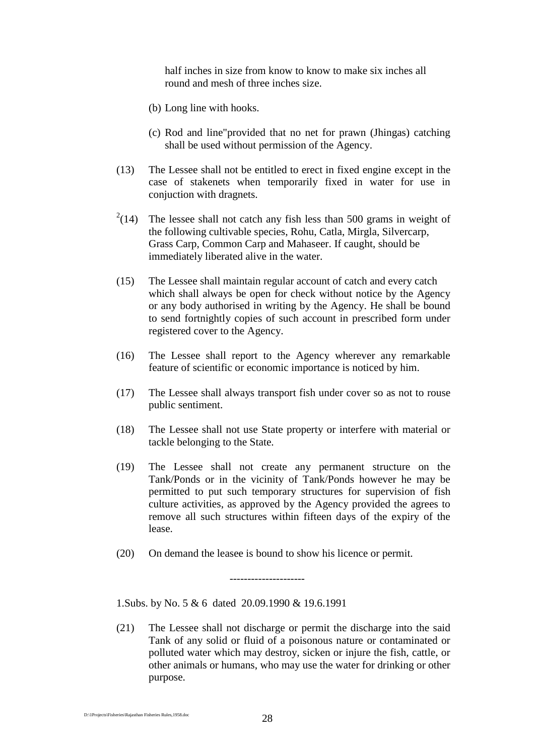half inches in size from know to know to make six inches all round and mesh of three inches size.

- (b) Long line with hooks.
- (c) Rod and line"provided that no net for prawn (Jhingas) catching shall be used without permission of the Agency.
- (13) The Lessee shall not be entitled to erect in fixed engine except in the case of stakenets when temporarily fixed in water for use in conjuction with dragnets.
- $^{2}(14)$ The lessee shall not catch any fish less than 500 grams in weight of the following cultivable species, Rohu, Catla, Mirgla, Silvercarp, Grass Carp, Common Carp and Mahaseer. If caught, should be immediately liberated alive in the water.
- (15) The Lessee shall maintain regular account of catch and every catch which shall always be open for check without notice by the Agency or any body authorised in writing by the Agency. He shall be bound to send fortnightly copies of such account in prescribed form under registered cover to the Agency.
- (16) The Lessee shall report to the Agency wherever any remarkable feature of scientific or economic importance is noticed by him.
- (17) The Lessee shall always transport fish under cover so as not to rouse public sentiment.
- (18) The Lessee shall not use State property or interfere with material or tackle belonging to the State.
- (19) The Lessee shall not create any permanent structure on the Tank/Ponds or in the vicinity of Tank/Ponds however he may be permitted to put such temporary structures for supervision of fish culture activities, as approved by the Agency provided the agrees to remove all such structures within fifteen days of the expiry of the lease.
- (20) On demand the leasee is bound to show his licence or permit.

---------------------

1.Subs. by No. 5 & 6 dated 20.09.1990 & 19.6.1991

(21) The Lessee shall not discharge or permit the discharge into the said Tank of any solid or fluid of a poisonous nature or contaminated or polluted water which may destroy, sicken or injure the fish, cattle, or other animals or humans, who may use the water for drinking or other purpose.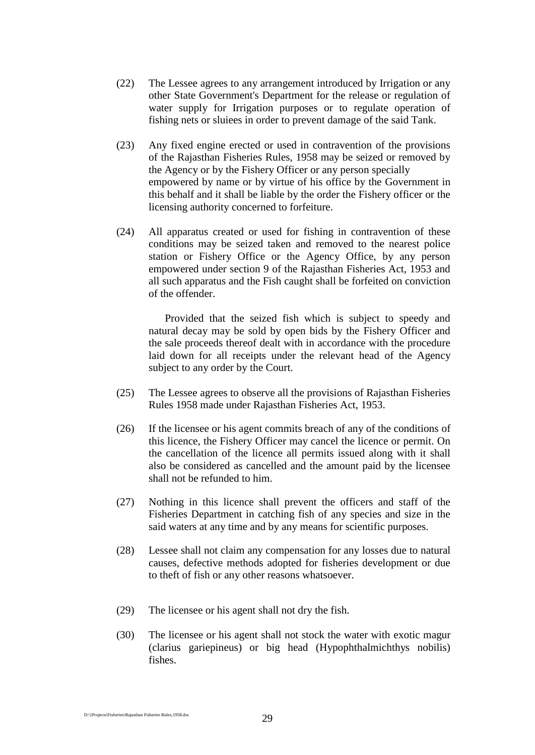- (22) The Lessee agrees to any arrangement introduced by Irrigation or any other State Government's Department for the release or regulation of water supply for Irrigation purposes or to regulate operation of fishing nets or sluiees in order to prevent damage of the said Tank.
- (23) Any fixed engine erected or used in contravention of the provisions of the Rajasthan Fisheries Rules, 1958 may be seized or removed by the Agency or by the Fishery Officer or any person specially empowered by name or by virtue of his office by the Government in this behalf and it shall be liable by the order the Fishery officer or the licensing authority concerned to forfeiture.
- (24) All apparatus created or used for fishing in contravention of these conditions may be seized taken and removed to the nearest police station or Fishery Office or the Agency Office, by any person empowered under section 9 of the Rajasthan Fisheries Act, 1953 and all such apparatus and the Fish caught shall be forfeited on conviction of the offender.

Provided that the seized fish which is subject to speedy and natural decay may be sold by open bids by the Fishery Officer and the sale proceeds thereof dealt with in accordance with the procedure laid down for all receipts under the relevant head of the Agency subject to any order by the Court.

- (25) The Lessee agrees to observe all the provisions of Rajasthan Fisheries Rules 1958 made under Rajasthan Fisheries Act, 1953.
- (26) If the licensee or his agent commits breach of any of the conditions of this licence, the Fishery Officer may cancel the licence or permit. On the cancellation of the licence all permits issued along with it shall also be considered as cancelled and the amount paid by the licensee shall not be refunded to him.
- (27) Nothing in this licence shall prevent the officers and staff of the Fisheries Department in catching fish of any species and size in the said waters at any time and by any means for scientific purposes.
- (28) Lessee shall not claim any compensation for any losses due to natural causes, defective methods adopted for fisheries development or due to theft of fish or any other reasons whatsoever.
- (29) The licensee or his agent shall not dry the fish.
- (30) The licensee or his agent shall not stock the water with exotic magur (clarius gariepineus) or big head (Hypophthalmichthys nobilis) fishes.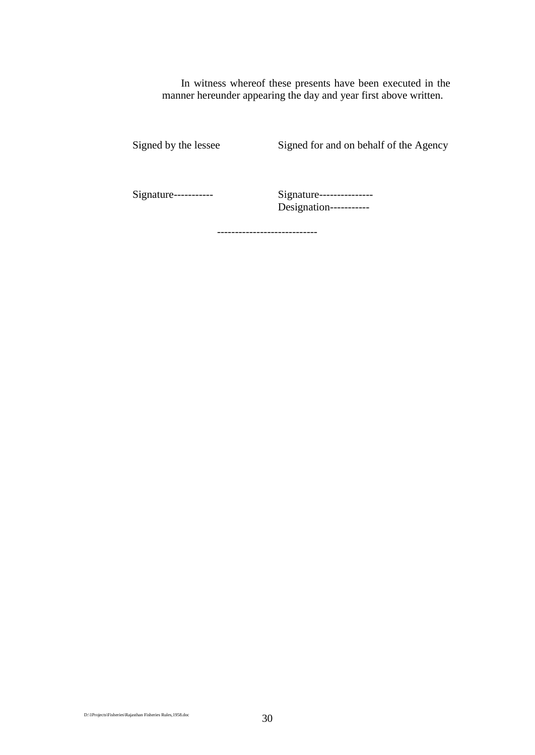In witness whereof these presents have been executed in the manner hereunder appearing the day and year first above written.

Signed by the lessee Signed for and on behalf of the Agency

Signature----------- Signature--------------- Designation-----------

----------------------------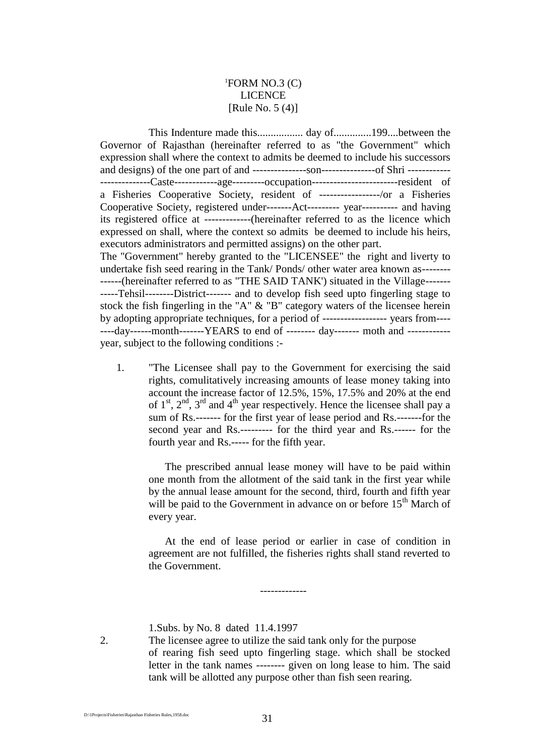## ${}^{1}$ FORM NO.3 (C) LICENCE [Rule No. 5 (4)]

This Indenture made this................. day of..............199....between the Governor of Rajasthan (hereinafter referred to as "the Government" which expression shall where the context to admits be deemed to include his successors and designs) of the one part of and ---------------son---------------of Shri ------------ --------------Caste------------age---------occupation------------------------resident of a Fisheries Cooperative Society, resident of -----------------/or a Fisheries Cooperative Society, registered under-------Act--------- year---------- and having its registered office at -------------(hereinafter referred to as the licence which expressed on shall, where the context so admits be deemed to include his heirs, executors administrators and permitted assigns) on the other part. The "Government" hereby granted to the "LICENSEE" the right and liverty to undertake fish seed rearing in the Tank/ Ponds/ other water area known as-------- ------(hereinafter referred to as "THE SAID TANK') situated in the Village------- -----Tehsil--------District------- and to develop fish seed upto fingerling stage to stock the fish fingerling in the "A" & "B" category waters of the licensee herein by adopting appropriate techniques, for a period of ------------------ years from---- ----day------month-------YEARS to end of -------- day------- moth and ----------- year, subject to the following conditions :-

1. "The Licensee shall pay to the Government for exercising the said rights, comulitatively increasing amounts of lease money taking into account the increase factor of 12.5%, 15%, 17.5% and 20% at the end of  $1<sup>st</sup>$ ,  $2<sup>nd</sup>$ ,  $3<sup>rd</sup>$  and  $4<sup>th</sup>$  year respectively. Hence the licensee shall pay a sum of Rs.------- for the first year of lease period and Rs.-------for the second year and Rs.--------- for the third year and Rs.------ for the fourth year and Rs.----- for the fifth year.

The prescribed annual lease money will have to be paid within one month from the allotment of the said tank in the first year while by the annual lease amount for the second, third, fourth and fifth year will be paid to the Government in advance on or before 15<sup>th</sup> March of every year.

At the end of lease period or earlier in case of condition in agreement are not fulfilled, the fisheries rights shall stand reverted to the Government.

-------------

1.Subs. by No. 8 dated 11.4.1997

2. The licensee agree to utilize the said tank only for the purpose of rearing fish seed upto fingerling stage. which shall be stocked letter in the tank names -------- given on long lease to him. The said tank will be allotted any purpose other than fish seen rearing.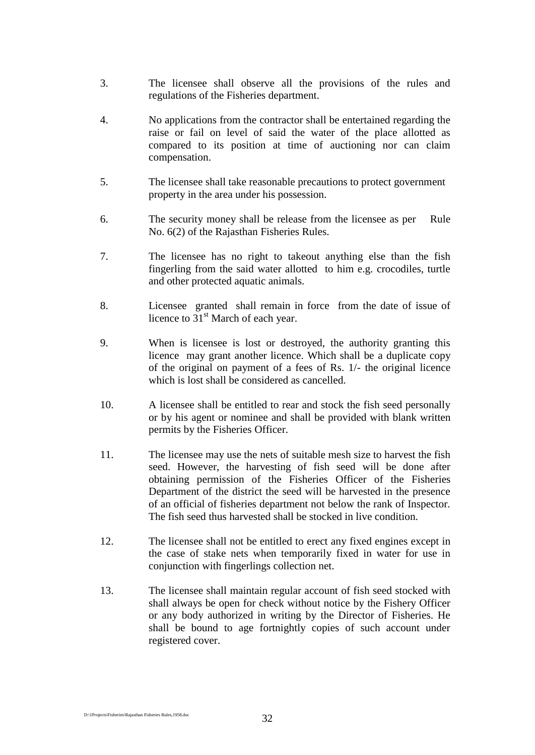- 3. The licensee shall observe all the provisions of the rules and regulations of the Fisheries department.
- 4. No applications from the contractor shall be entertained regarding the raise or fail on level of said the water of the place allotted as compared to its position at time of auctioning nor can claim compensation.
- 5. The licensee shall take reasonable precautions to protect government property in the area under his possession.
- 6. The security money shall be release from the licensee as per Rule No. 6(2) of the Rajasthan Fisheries Rules.
- 7. The licensee has no right to takeout anything else than the fish fingerling from the said water allotted to him e.g. crocodiles, turtle and other protected aquatic animals.
- 8. Licensee granted shall remain in force from the date of issue of licence to  $31<sup>st</sup>$  March of each year.
- 9. When is licensee is lost or destroyed, the authority granting this licence may grant another licence. Which shall be a duplicate copy of the original on payment of a fees of Rs. 1/- the original licence which is lost shall be considered as cancelled.
- 10. A licensee shall be entitled to rear and stock the fish seed personally or by his agent or nominee and shall be provided with blank written permits by the Fisheries Officer.
- 11. The licensee may use the nets of suitable mesh size to harvest the fish seed. However, the harvesting of fish seed will be done after obtaining permission of the Fisheries Officer of the Fisheries Department of the district the seed will be harvested in the presence of an official of fisheries department not below the rank of Inspector. The fish seed thus harvested shall be stocked in live condition.
- 12. The licensee shall not be entitled to erect any fixed engines except in the case of stake nets when temporarily fixed in water for use in conjunction with fingerlings collection net.
- 13. The licensee shall maintain regular account of fish seed stocked with shall always be open for check without notice by the Fishery Officer or any body authorized in writing by the Director of Fisheries. He shall be bound to age fortnightly copies of such account under registered cover.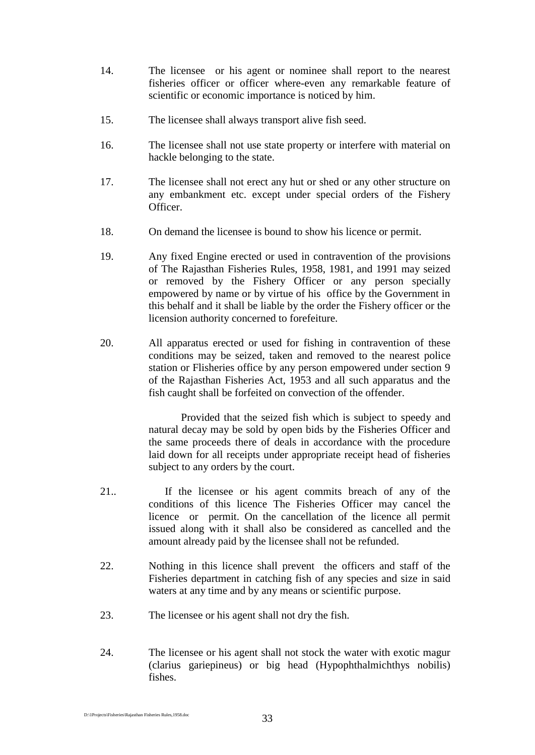- 14. The licensee or his agent or nominee shall report to the nearest fisheries officer or officer where-even any remarkable feature of scientific or economic importance is noticed by him.
- 15. The licensee shall always transport alive fish seed.
- 16. The licensee shall not use state property or interfere with material on hackle belonging to the state.
- 17. The licensee shall not erect any hut or shed or any other structure on any embankment etc. except under special orders of the Fishery Officer.
- 18. On demand the licensee is bound to show his licence or permit.
- 19. Any fixed Engine erected or used in contravention of the provisions of The Rajasthan Fisheries Rules, 1958, 1981, and 1991 may seized or removed by the Fishery Officer or any person specially empowered by name or by virtue of his office by the Government in this behalf and it shall be liable by the order the Fishery officer or the licension authority concerned to forefeiture.
- 20. All apparatus erected or used for fishing in contravention of these conditions may be seized, taken and removed to the nearest police station or Flisheries office by any person empowered under section 9 of the Rajasthan Fisheries Act, 1953 and all such apparatus and the fish caught shall be forfeited on convection of the offender.

Provided that the seized fish which is subject to speedy and natural decay may be sold by open bids by the Fisheries Officer and the same proceeds there of deals in accordance with the procedure laid down for all receipts under appropriate receipt head of fisheries subject to any orders by the court.

- 21.. If the licensee or his agent commits breach of any of the conditions of this licence The Fisheries Officer may cancel the licence or permit. On the cancellation of the licence all permit issued along with it shall also be considered as cancelled and the amount already paid by the licensee shall not be refunded.
- 22. Nothing in this licence shall prevent the officers and staff of the Fisheries department in catching fish of any species and size in said waters at any time and by any means or scientific purpose.
- 23. The licensee or his agent shall not dry the fish.
- 24. The licensee or his agent shall not stock the water with exotic magur (clarius gariepineus) or big head (Hypophthalmichthys nobilis) fishes.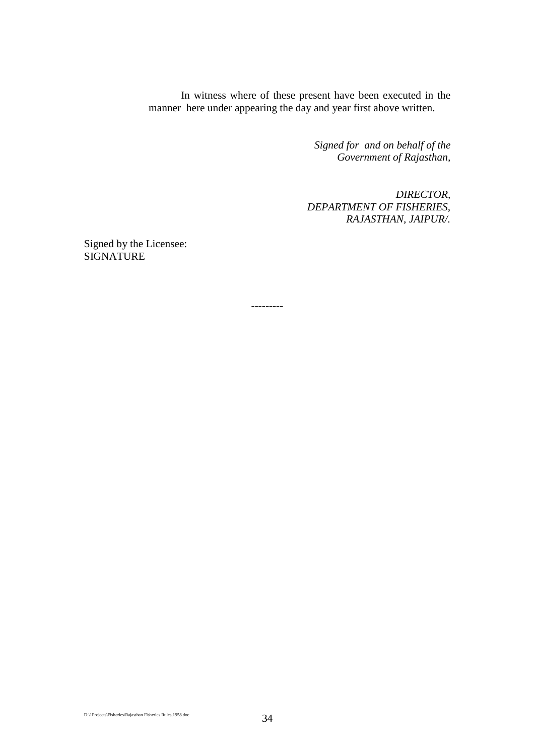In witness where of these present have been executed in the manner here under appearing the day and year first above written.

> *Signed for and on behalf of the Government of Rajasthan,*

*DIRECTOR, DEPARTMENT OF FISHERIES, RAJASTHAN, JAIPUR/.*

Signed by the Licensee: **SIGNATURE** 

---------